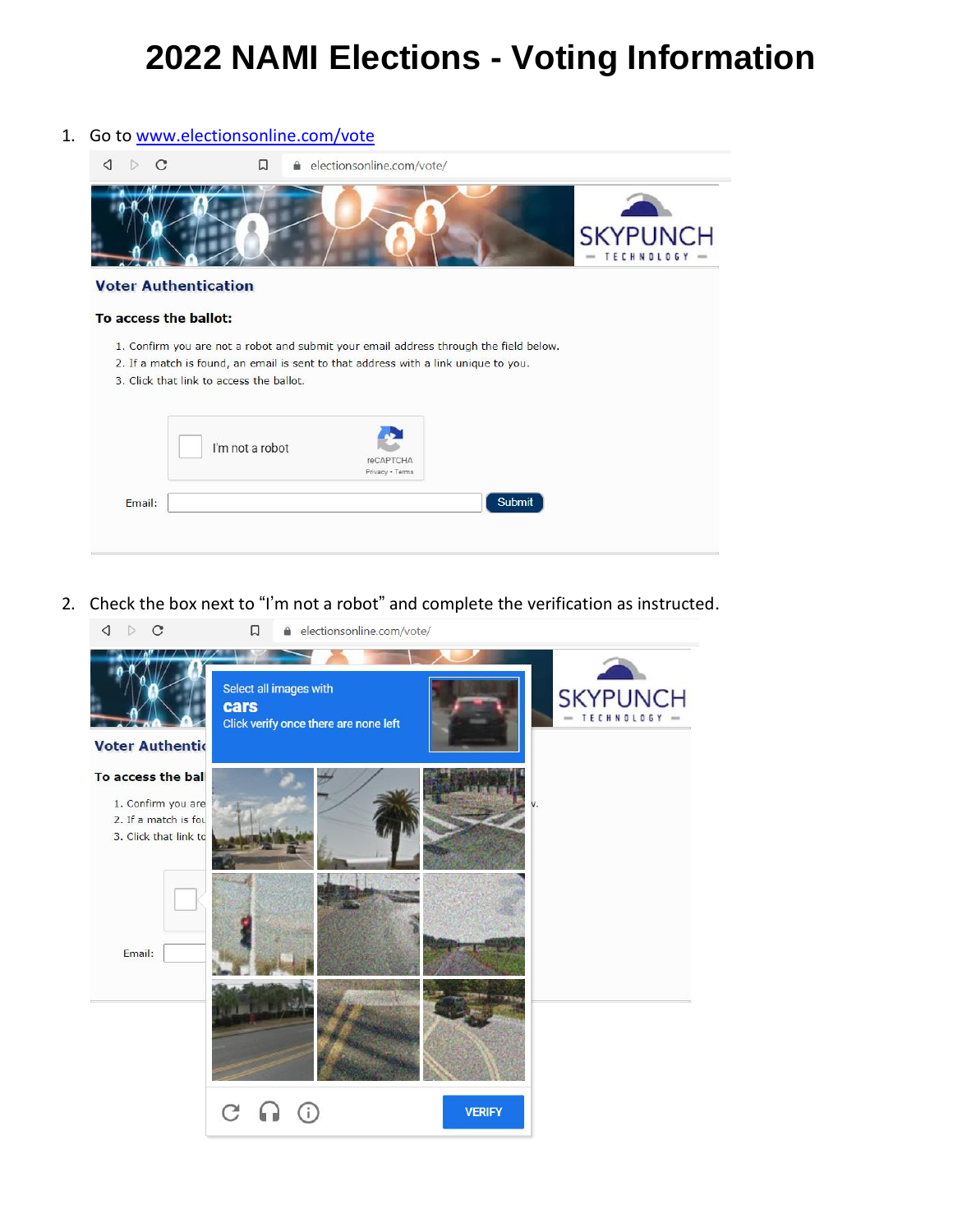## **2022 NAMI Elections - Voting Information**



2. Check the box next to "I'm not a robot" and complete the verification as instructed.

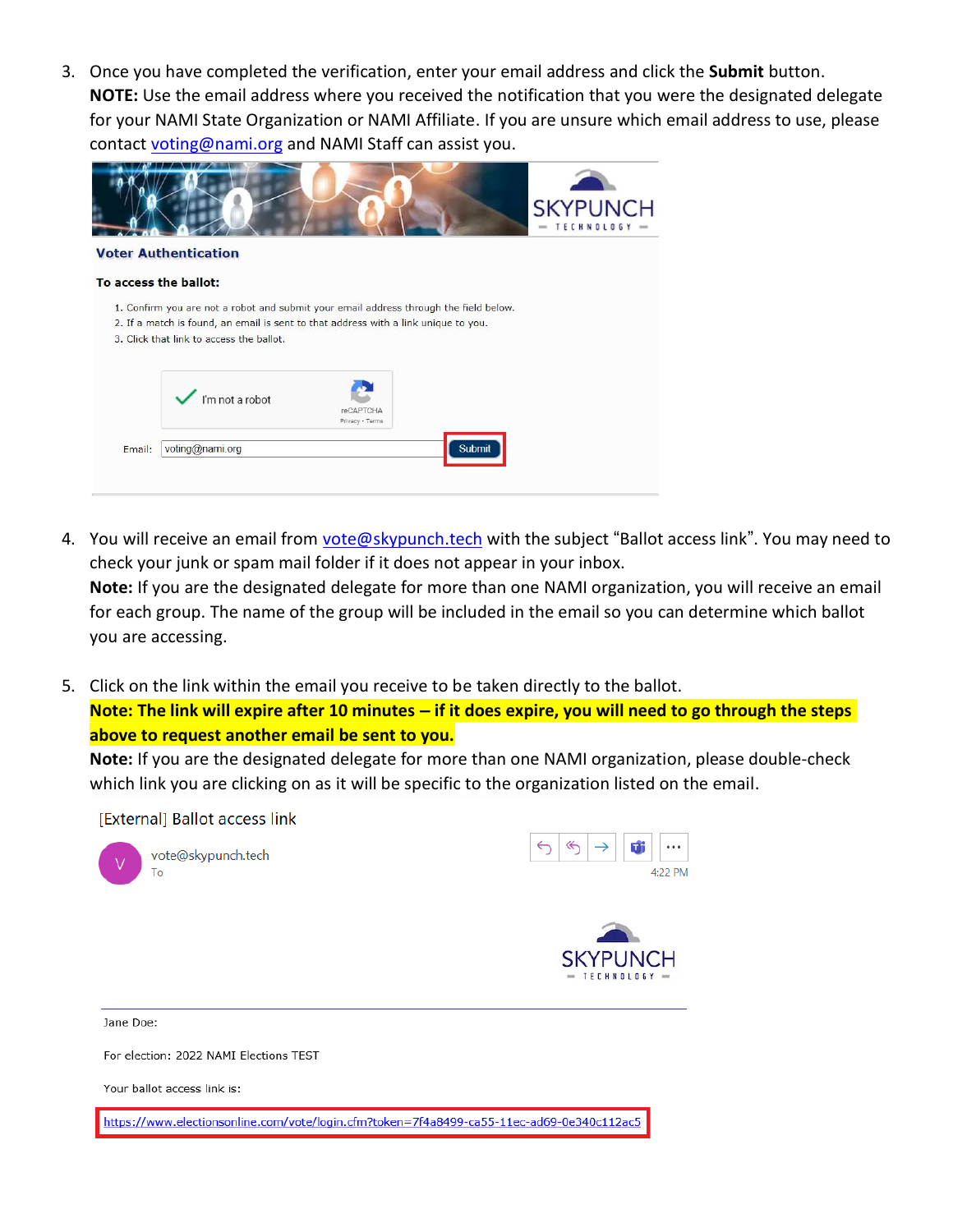3. Once you have completed the verification, enter your email address and click the **Submit** button. **NOTE:** Use the email address where you received the notification that you were the designated delegate for your NAMI State Organization or NAMI Affiliate. If you are unsure which email address to use, please contact [voting@nami.org](mailto:voting@nami.org) and NAMI Staff can assist you.

|                       |                                                                                                                                                                                                                          |                              |        | <b>SKYPUNCH</b><br><b>TECHNOLOGY</b><br>$\overline{\phantom{a}}$ |
|-----------------------|--------------------------------------------------------------------------------------------------------------------------------------------------------------------------------------------------------------------------|------------------------------|--------|------------------------------------------------------------------|
|                       | <b>Voter Authentication</b>                                                                                                                                                                                              |                              |        |                                                                  |
| To access the ballot: |                                                                                                                                                                                                                          |                              |        |                                                                  |
|                       | 1. Confirm you are not a robot and submit your email address through the field below.<br>2. If a match is found, an email is sent to that address with a link unique to you.<br>3. Click that link to access the ballot. |                              |        |                                                                  |
|                       | $\sqrt{\frac{1}{2}}$ l'm not a robot                                                                                                                                                                                     | reCAPTCHA<br>Privacy - Terms |        |                                                                  |
| Email:                | voting@nami.org                                                                                                                                                                                                          |                              | Submit |                                                                  |
|                       |                                                                                                                                                                                                                          |                              |        |                                                                  |

4. You will receive an email from [vote@skypunch.tech](mailto:vote@skypunch.tech) with the subject "Ballot access link". You may need to check your junk or spam mail folder if it does not appear in your inbox.

**Note:** If you are the designated delegate for more than one NAMI organization, you will receive an email for each group. The name of the group will be included in the email so you can determine which ballot you are accessing.

5. Click on the link within the email you receive to be taken directly to the ballot. **Note: The link will expire after 10 minutes – if it does expire, you will need to go through the steps** 

**above to request another email be sent to you.**

**Note:** If you are the designated delegate for more than one NAMI organization, please double-check which link you are clicking on as it will be specific to the organization listed on the email.

4:22 PM



Jane Doe:

For election: 2022 NAMI Elections TEST

Your ballot access link is:

https://www.electionsonline.com/vote/login.cfm?token=7f4a8499-ca55-11ec-ad69-0e340c112ac5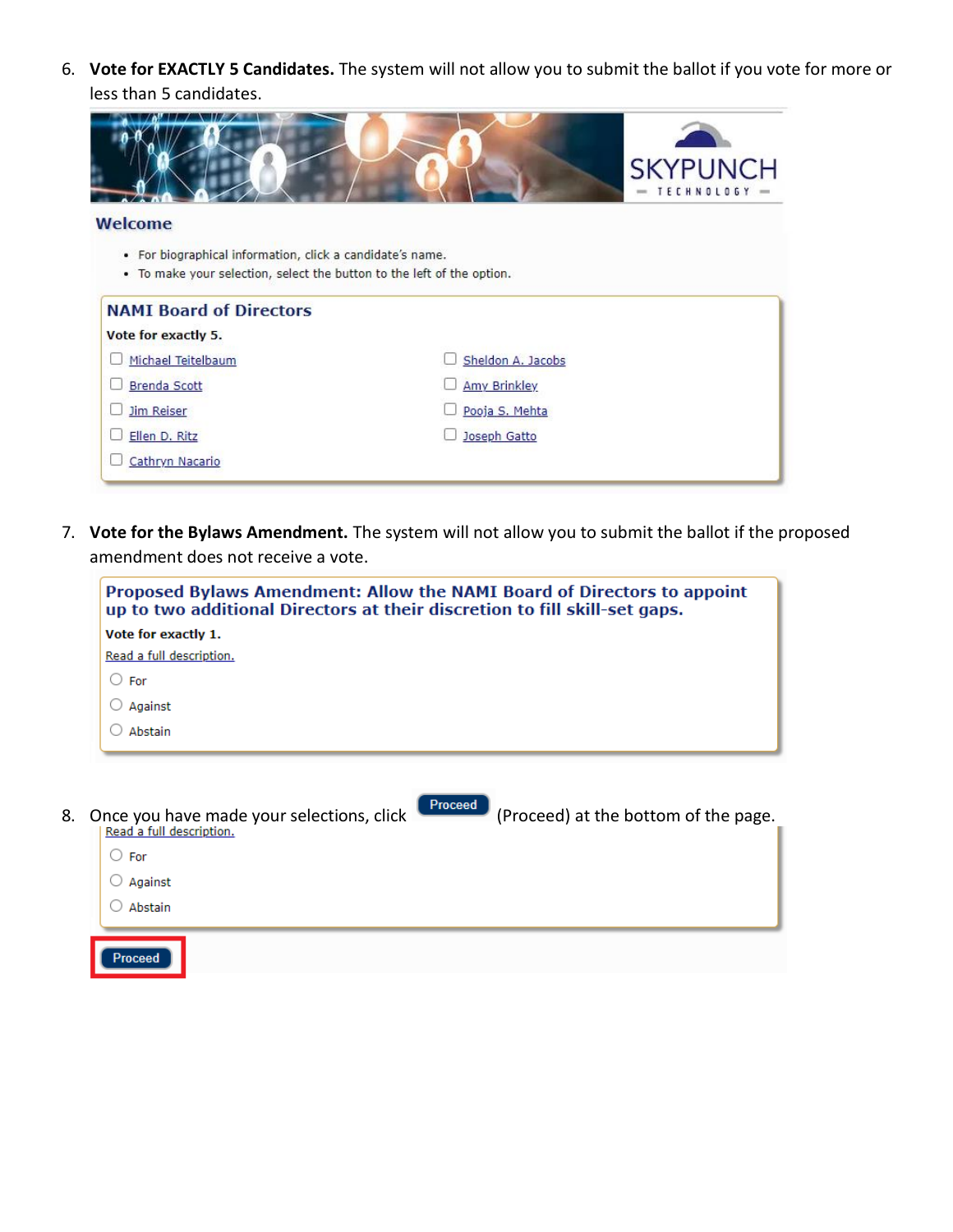6. **Vote for EXACTLY 5 Candidates.** The system will not allow you to submit the ballot if you vote for more or less than 5 candidates.

|                                                                        | <b>SKYPUNCH</b><br>TECHNOLOGY - |
|------------------------------------------------------------------------|---------------------------------|
| <b>Welcome</b>                                                         |                                 |
| • For biographical information, click a candidate's name.              |                                 |
| . To make your selection, select the button to the left of the option. |                                 |
|                                                                        |                                 |
| <b>NAMI Board of Directors</b>                                         |                                 |
| Vote for exactly 5.                                                    |                                 |
| Michael Teitelbaum                                                     | Sheldon A. Jacobs               |
| <b>Brenda Scott</b>                                                    | <b>Amy Brinkley</b>             |
| <b>Jim Reiser</b>                                                      | Pooja S. Mehta                  |
| Ellen D. Ritz                                                          | Joseph Gatto                    |

7. **Vote for the Bylaws Amendment.** The system will not allow you to submit the ballot if the proposed amendment does not receive a vote.

| Proposed Bylaws Amendment: Allow the NAMI Board of Directors to appoint<br>up to two additional Directors at their discretion to fill skill-set gaps. |  |  |
|-------------------------------------------------------------------------------------------------------------------------------------------------------|--|--|
| Vote for exactly 1.                                                                                                                                   |  |  |
| Read a full description.                                                                                                                              |  |  |
| $\circ$ For                                                                                                                                           |  |  |
| Against                                                                                                                                               |  |  |
| Abstain                                                                                                                                               |  |  |
|                                                                                                                                                       |  |  |
|                                                                                                                                                       |  |  |

8. Once you have made your selections, click (Proceed) (Proceed) at the bottom of the page.  $\bigcirc$  For  $\bigcirc$  Against  $\bigcirc$  Abstain Proceed